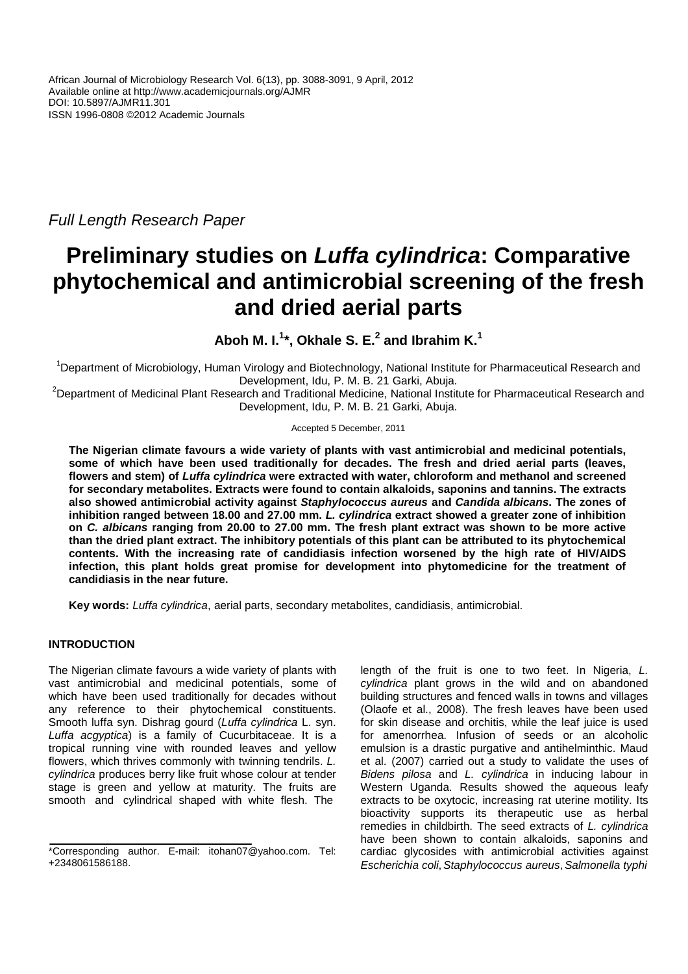Full Length Research Paper

# **Preliminary studies on Luffa cylindrica: Comparative phytochemical and antimicrobial screening of the fresh and dried aerial parts**

**Aboh M. I.<sup>1</sup> \*, Okhale S. E.<sup>2</sup> and Ibrahim K.<sup>1</sup>**

<sup>1</sup>Department of Microbiology, Human Virology and Biotechnology, National Institute for Pharmaceutical Research and Development, Idu, P. M. B. 21 Garki, Abuja.

<sup>2</sup>Department of Medicinal Plant Research and Traditional Medicine. National Institute for Pharmaceutical Research and Development, Idu, P. M. B. 21 Garki, Abuja.

# Accepted 5 December, 2011

**The Nigerian climate favours a wide variety of plants with vast antimicrobial and medicinal potentials, some of which have been used traditionally for decades. The fresh and dried aerial parts (leaves, flowers and stem) of Luffa cylindrica were extracted with water, chloroform and methanol and screened for secondary metabolites. Extracts were found to contain alkaloids, saponins and tannins. The extracts also showed antimicrobial activity against Staphylococcus aureus and Candida albicans. The zones of inhibition ranged between 18.00 and 27.00 mm. L. cylindrica extract showed a greater zone of inhibition on C. albicans ranging from 20.00 to 27.00 mm. The fresh plant extract was shown to be more active than the dried plant extract. The inhibitory potentials of this plant can be attributed to its phytochemical contents. With the increasing rate of candidiasis infection worsened by the high rate of HIV/AIDS infection, this plant holds great promise for development into phytomedicine for the treatment of candidiasis in the near future.** 

**Key words:** Luffa cylindrica, aerial parts, secondary metabolites, candidiasis, antimicrobial.

# **INTRODUCTION**

The Nigerian climate favours a wide variety of plants with vast antimicrobial and medicinal potentials, some of which have been used traditionally for decades without any reference to their phytochemical constituents. Smooth luffa syn. Dishrag gourd (Luffa cylindrica L. syn. Luffa acgyptica) is a family of Cucurbitaceae. It is a tropical running vine with rounded leaves and yellow flowers, which thrives commonly with twinning tendrils. L. cylindrica produces berry like fruit whose colour at tender stage is green and yellow at maturity. The fruits are smooth and cylindrical shaped with white flesh. The

length of the fruit is one to two feet. In Nigeria, L. cylindrica plant grows in the wild and on abandoned building structures and fenced walls in towns and villages (Olaofe et al., 2008). The fresh leaves have been used for skin disease and orchitis, while the leaf juice is used for amenorrhea. Infusion of seeds or an alcoholic emulsion is a drastic purgative and antihelminthic. Maud et al. (2007) carried out a study to validate the uses of Bidens pilosa and L. cylindrica in inducing labour in Western Uganda. Results showed the aqueous leafy extracts to be oxytocic, increasing rat uterine motility. Its bioactivity supports its therapeutic use as herbal remedies in childbirth. The seed extracts of L. cylindrica have been shown to contain alkaloids, saponins and cardiac glycosides with antimicrobial activities against Escherichia coli, Staphylococcus aureus, Salmonella typhi

<sup>\*</sup>Corresponding author. E-mail: itohan07@yahoo.com. Tel: +2348061586188.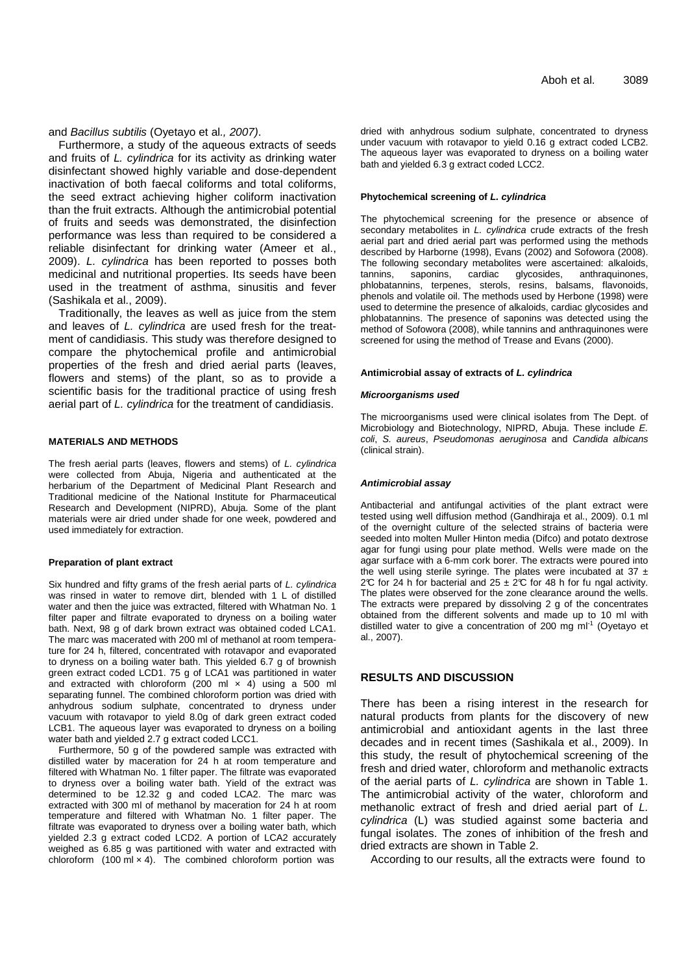and Bacillus subtilis (Oyetayo et al., 2007).

Furthermore, a study of the aqueous extracts of seeds and fruits of L. cylindrica for its activity as drinking water disinfectant showed highly variable and dose-dependent inactivation of both faecal coliforms and total coliforms, the seed extract achieving higher coliform inactivation than the fruit extracts. Although the antimicrobial potential of fruits and seeds was demonstrated, the disinfection performance was less than required to be considered a reliable disinfectant for drinking water (Ameer et al., 2009). L. cylindrica has been reported to posses both medicinal and nutritional properties. Its seeds have been used in the treatment of asthma, sinusitis and fever (Sashikala et al., 2009).

Traditionally, the leaves as well as juice from the stem and leaves of L. cylindrica are used fresh for the treatment of candidiasis. This study was therefore designed to compare the phytochemical profile and antimicrobial properties of the fresh and dried aerial parts (leaves, flowers and stems) of the plant, so as to provide a scientific basis for the traditional practice of using fresh aerial part of L. cylindrica for the treatment of candidiasis.

## **MATERIALS AND METHODS**

The fresh aerial parts (leaves, flowers and stems) of L. cylindrica were collected from Abuja, Nigeria and authenticated at the herbarium of the Department of Medicinal Plant Research and Traditional medicine of the National Institute for Pharmaceutical Research and Development (NIPRD), Abuja. Some of the plant materials were air dried under shade for one week, powdered and used immediately for extraction.

### **Preparation of plant extract**

Six hundred and fifty grams of the fresh aerial parts of L. cylindrica was rinsed in water to remove dirt, blended with 1 L of distilled water and then the juice was extracted, filtered with Whatman No. 1 filter paper and filtrate evaporated to dryness on a boiling water bath. Next, 98 g of dark brown extract was obtained coded LCA1. The marc was macerated with 200 ml of methanol at room temperature for 24 h, filtered, concentrated with rotavapor and evaporated to dryness on a boiling water bath. This yielded 6.7 g of brownish green extract coded LCD1. 75 g of LCA1 was partitioned in water and extracted with chloroform (200 ml  $\times$  4) using a 500 ml separating funnel. The combined chloroform portion was dried with anhydrous sodium sulphate, concentrated to dryness under vacuum with rotavapor to yield 8.0g of dark green extract coded LCB1. The aqueous layer was evaporated to dryness on a boiling water bath and yielded 2.7 g extract coded LCC1.

Furthermore, 50 g of the powdered sample was extracted with distilled water by maceration for 24 h at room temperature and filtered with Whatman No. 1 filter paper. The filtrate was evaporated to dryness over a boiling water bath. Yield of the extract was determined to be 12.32 g and coded LCA2. The marc was extracted with 300 ml of methanol by maceration for 24 h at room temperature and filtered with Whatman No. 1 filter paper. The filtrate was evaporated to dryness over a boiling water bath, which yielded 2.3 g extract coded LCD2. A portion of LCA2 accurately weighed as 6.85 g was partitioned with water and extracted with chloroform  $(100 \text{ ml} \times 4)$ . The combined chloroform portion was

dried with anhydrous sodium sulphate, concentrated to dryness under vacuum with rotavapor to yield 0.16 g extract coded LCB2. The aqueous layer was evaporated to dryness on a boiling water bath and yielded 6.3 g extract coded LCC2.

#### **Phytochemical screening of L. cylindrica**

The phytochemical screening for the presence or absence of secondary metabolites in *L. cylindrica* crude extracts of the fresh aerial part and dried aerial part was performed using the methods described by Harborne (1998), Evans (2002) and Sofowora (2008). The following secondary metabolites were ascertained: alkaloids, tannins, saponins, cardiac glycosides, anthraquinones, phlobatannins, terpenes, sterols, resins, balsams, flavonoids, phenols and volatile oil. The methods used by Herbone (1998) were used to determine the presence of alkaloids, cardiac glycosides and phlobatannins. The presence of saponins was detected using the method of Sofowora (2008), while tannins and anthraquinones were screened for using the method of Trease and Evans (2000).

#### **Antimicrobial assay of extracts of L. cylindrica**

#### **Microorganisms used**

The microorganisms used were clinical isolates from The Dept. of Microbiology and Biotechnology, NIPRD, Abuja. These include E. coli, S. aureus, Pseudomonas aeruginosa and Candida albicans (clinical strain).

#### **Antimicrobial assay**

Antibacterial and antifungal activities of the plant extract were tested using well diffusion method (Gandhiraja et al., 2009). 0.1 ml of the overnight culture of the selected strains of bacteria were seeded into molten Muller Hinton media (Difco) and potato dextrose agar for fungi using pour plate method. Wells were made on the agar surface with a 6-mm cork borer. The extracts were poured into the well using sterile syringe. The plates were incubated at 37  $\pm$ 2°C for 24 h for bacterial and 25  $\pm$  2°C for 48 h for fu ngal activity. The plates were observed for the zone clearance around the wells. The extracts were prepared by dissolving 2 g of the concentrates obtained from the different solvents and made up to 10 ml with distilled water to give a concentration of 200 mg ml<sup>-1</sup> (Oyetayo et al., 2007).

# **RESULTS AND DISCUSSION**

There has been a rising interest in the research for natural products from plants for the discovery of new antimicrobial and antioxidant agents in the last three decades and in recent times (Sashikala et al., 2009). In this study, the result of phytochemical screening of the fresh and dried water, chloroform and methanolic extracts of the aerial parts of L. cylindrica are shown in Table 1. The antimicrobial activity of the water, chloroform and methanolic extract of fresh and dried aerial part of L. cylindrica (L) was studied against some bacteria and fungal isolates. The zones of inhibition of the fresh and dried extracts are shown in Table 2.

According to our results, all the extracts were found to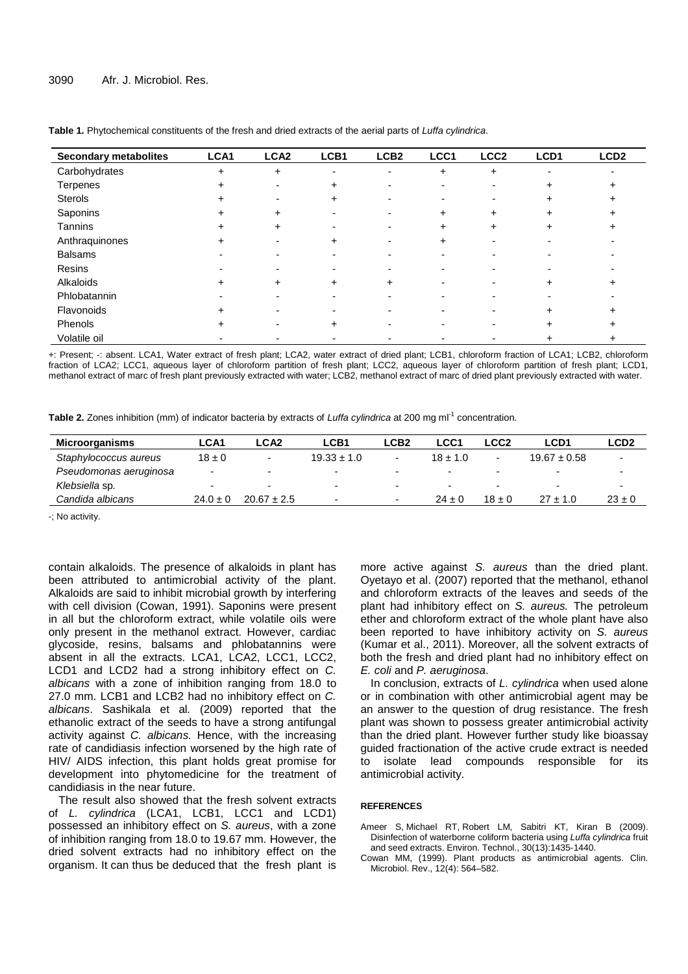| <b>Secondary metabolites</b> | LCA1      | LCA <sub>2</sub> | LCB1                     | LCB <sub>2</sub>         | LCC1      | LCC <sub>2</sub> | LCD1 | LCD <sub>2</sub> |
|------------------------------|-----------|------------------|--------------------------|--------------------------|-----------|------------------|------|------------------|
| Carbohydrates                | $\ddot{}$ | $\ddot{}$        | $\overline{\phantom{a}}$ | $\overline{\phantom{0}}$ | $\ddot{}$ | $\ddot{}$        |      |                  |
| Terpenes                     | +         |                  | +                        |                          |           |                  | +    |                  |
| Sterols                      | +         |                  | $\div$                   |                          |           |                  |      |                  |
| Saponins                     | +         | +                |                          |                          | ÷         | ÷                | +    |                  |
| Tannins                      | +         | +                |                          |                          | ÷         | ÷                |      |                  |
| Anthraquinones               | +         |                  | $\div$                   |                          | +         |                  |      |                  |
| <b>Balsams</b>               |           |                  |                          |                          |           |                  |      |                  |
| Resins                       |           |                  |                          |                          |           |                  |      |                  |
| Alkaloids                    | +         | +                | +                        | +                        |           |                  | +    |                  |
| Phlobatannin                 |           |                  |                          |                          |           |                  |      |                  |
| Flavonoids                   | +         |                  |                          |                          |           |                  | ÷    |                  |
| Phenols                      | +         |                  |                          |                          |           |                  |      |                  |
| Volatile oil                 |           |                  |                          |                          |           |                  | +    | +                |

**Table 1.** Phytochemical constituents of the fresh and dried extracts of the aerial parts of Luffa cylindrica.

+: Present; -: absent. LCA1, Water extract of fresh plant; LCA2, water extract of dried plant; LCB1, chloroform fraction of LCA1; LCB2, chloroform fraction of LCA2; LCC1, aqueous layer of chloroform partition of fresh plant; LCC2, aqueous layer of chloroform partition of fresh plant; LCD1, methanol extract of marc of fresh plant previously extracted with water; LCB2, methanol extract of marc of dried plant previously extracted with water.

Table 2. Zones inhibition (mm) of indicator bacteria by extracts of *Luffa cylindrica* at 200 mg ml<sup>-1</sup> concentration.

| Microorganisms         | <b>LCA1</b>              | LCA <sub>2</sub>         | LCB <sub>1</sub>         | LCB2                     | ∟CC1         | <b>LCC2</b> | LCD1                     | <b>LCD2</b>              |
|------------------------|--------------------------|--------------------------|--------------------------|--------------------------|--------------|-------------|--------------------------|--------------------------|
| Staphylococcus aureus  | $18 \pm 0$               | ۰                        | $19.33 \pm 1.0$          | ۰                        | $18 \pm 1.0$ | -           | $19.67 \pm 0.58$         | $\overline{\phantom{a}}$ |
| Pseudomonas aeruginosa | -                        |                          | -                        | -                        |              |             | -                        |                          |
| Klebsiella sp.         | $\overline{\phantom{0}}$ | $\overline{\phantom{a}}$ | -                        | $\overline{\phantom{a}}$ | -            | -           | $\overline{\phantom{a}}$ | $\overline{\phantom{a}}$ |
| Candida albicans       | $24.0 \pm 0$             | $20.67 \pm 2.5$          | $\overline{\phantom{0}}$ | $\overline{\phantom{a}}$ | $24 \pm 0$   | $18 \pm 0$  | $27 \pm 1.0$             | $23 \pm 0$               |

-; No activity.

contain alkaloids. The presence of alkaloids in plant has been attributed to antimicrobial activity of the plant. Alkaloids are said to inhibit microbial growth by interfering with cell division (Cowan, 1991). Saponins were present in all but the chloroform extract, while volatile oils were only present in the methanol extract. However, cardiac glycoside, resins, balsams and phlobatannins were absent in all the extracts. LCA1, LCA2, LCC1, LCC2, LCD1 and LCD2 had a strong inhibitory effect on C. albicans with a zone of inhibition ranging from 18.0 to 27.0 mm. LCB1 and LCB2 had no inhibitory effect on C. albicans. Sashikala et al. (2009) reported that the ethanolic extract of the seeds to have a strong antifungal activity against C. albicans. Hence, with the increasing rate of candidiasis infection worsened by the high rate of HIV/ AIDS infection, this plant holds great promise for development into phytomedicine for the treatment of candidiasis in the near future.

The result also showed that the fresh solvent extracts of L. cylindrica (LCA1, LCB1, LCC1 and LCD1) possessed an inhibitory effect on S. aureus, with a zone of inhibition ranging from 18.0 to 19.67 mm. However, the dried solvent extracts had no inhibitory effect on the organism. It can thus be deduced that the fresh plant is

more active against S. aureus than the dried plant. Oyetayo et al. (2007) reported that the methanol, ethanol and chloroform extracts of the leaves and seeds of the plant had inhibitory effect on S. aureus. The petroleum ether and chloroform extract of the whole plant have also been reported to have inhibitory activity on S. aureus (Kumar et al., 2011). Moreover, all the solvent extracts of both the fresh and dried plant had no inhibitory effect on E. coli and P. aeruginosa.

In conclusion, extracts of L. cylindrica when used alone or in combination with other antimicrobial agent may be an answer to the question of drug resistance. The fresh plant was shown to possess greater antimicrobial activity than the dried plant. However further study like bioassay guided fractionation of the active crude extract is needed to isolate lead compounds responsible for its antimicrobial activity.

# **REFERENCES**

- Ameer S, Michael RT, Robert LM, Sabitri KT, Kiran B (2009). Disinfection of waterborne coliform bacteria using Luffa cylindrica fruit and seed extracts. Environ. Technol., 30(13):1435-1440.
- Cowan MM, (1999). Plant products as antimicrobial agents. Clin. Microbiol. Rev., 12(4): 564–582.